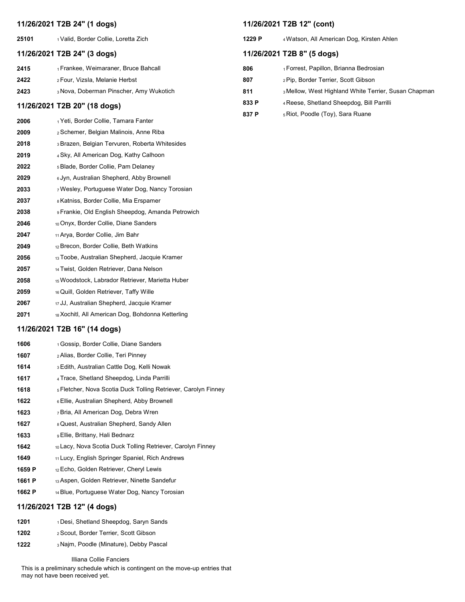# 11/26/2021 T2B 24" (1 dogs)

25101 1Valid, Border Collie, Loretta Zich

# 11/26/2021 T2B 24" (3 dogs)

| 2415 | <sub>1</sub> Frankee, Weimaraner, Bruce Bahcall |
|------|-------------------------------------------------|
| 2422 | 2 Four, Vizsla, Melanie Herbst                  |
| 2423 | 3 Nova, Doberman Pinscher, Amy Wukotich         |

# 11/26/2021 T2B 20" (18 dogs)

| 2006 | ⊣ Yeti. Border Collie. Tamara Fanter |  |
|------|--------------------------------------|--|
|------|--------------------------------------|--|

- 2009 2Schemer, Belgian Malinois, Anne Riba
- 2018 3Brazen, Belgian Tervuren, Roberta Whitesides
- 2019 4Sky, All American Dog, Kathy Calhoon
- 2022 5Blade, Border Collie, Pam Delaney
- 2029 <sup>6</sup> Jyn, Australian Shepherd, Abby Brownell
- 2033 7Wesley, Portuguese Water Dog, Nancy Torosian
- 2037 8Katniss, Border Collie, Mia Erspamer
- 2038 9Frankie, Old English Sheepdog, Amanda Petrowich
- 2046 10 Onyx, Border Collie, Diane Sanders
- 2047 11 Arya, Border Collie, Jim Bahr
- 2049 12 Brecon, Border Collie, Beth Watkins
- 2056 13Toobe, Australian Shepherd, Jacquie Kramer
- 2057 14 Twist, Golden Retriever, Dana Nelson
- 2058 15Woodstock, Labrador Retriever, Marietta Huber
- 2059 16 Quill, Golden Retriever, Taffy Wille
- 2067 17 JJ, Australian Shepherd, Jacquie Kramer
- 2071 18 Xochitl, All American Dog, Bohdonna Ketterling

# 11/26/2021 T2B 16" (14 dogs)

- 1606 1Gossip, Border Collie, Diane Sanders 1607 2Alias, Border Collie, Teri Pinney 1614 3Edith, Australian Cattle Dog, Kelli Nowak 1617 4Trace, Shetland Sheepdog, Linda Parrilli 1618 5Fletcher, Nova Scotia Duck Tolling Retriever, Carolyn Finney 1622 6 Ellie, Australian Shepherd, Abby Brownell 1623 7Bria, All American Dog, Debra Wren 1627 8Quest, Australian Shepherd, Sandy Allen 1633 9 Ellie, Brittany, Hali Bednarz 1642 10 Lacy, Nova Scotia Duck Tolling Retriever, Carolyn Finney 1649 11 Lucy, English Springer Spaniel, Rich Andrews 1659 P 12 Echo, Golden Retriever, Cheryl Lewis 1661 P 13 Aspen, Golden Retriever, Ninette Sandefur
- 1662 P 14 Blue, Portuguese Water Dog, Nancy Torosian

## 11/26/2021 T2B 12" (4 dogs)

- 1201 1 Desi, Shetland Sheepdog, Saryn Sands
- 1202 2Scout, Border Terrier, Scott Gibson
- 1222 3 Najm, Poodle (Minature), Debby Pascal

## Illiana Collie Fanciers

This is a preliminary schedule which is contingent on the move-up entries that may not have been received yet.

## 11/26/2021 T2B 12" (cont)

# 11/26/2021 T2B 8" (5 dogs)

| 806   | <sub>1</sub> Forrest, Papillon, Brianna Bedrosian    |
|-------|------------------------------------------------------|
| 807   | 2 Pip, Border Terrier, Scott Gibson                  |
| 811   | 3 Mellow, West Highland White Terrier, Susan Chapman |
| 833 P | 4 Reese, Shetland Sheepdog, Bill Parrilli            |
| 837 P | 5 Riot, Poodle (Toy), Sara Ruane                     |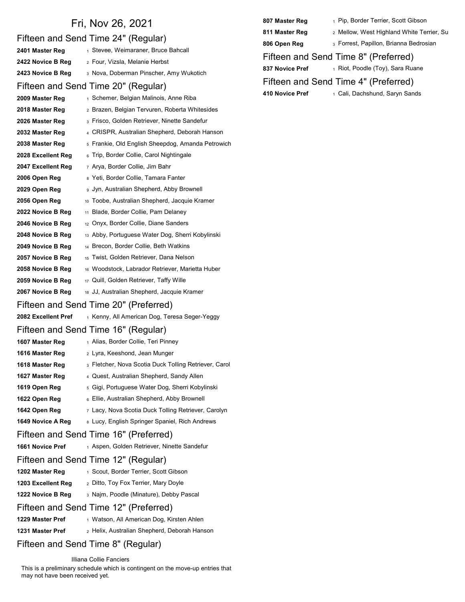| 2 Mellow, W<br>811 Master Reg<br>Fifteen and Send Time 24" (Regular)<br>3 Forrest, Pa<br>806 Open Reg<br>1 Stevee, Weimaraner, Bruce Bahcall<br>2401 Master Reg<br>Fifteen and Send Time 8"<br>2422 Novice B Reg<br>2 Four, Vizsla, Melanie Herbst<br>837 Novice Pref<br>1 Riot, Pooc<br>3 Nova, Doberman Pinscher, Amy Wukotich<br>2423 Novice B Reg<br>Fifteen and Send Time 4"<br>Fifteen and Send Time 20" (Regular)<br>410 Novice Pref<br>↑ Cali, Dach<br>1 Schemer, Belgian Malinois, Anne Riba<br>2009 Master Reg<br>2 Brazen, Belgian Tervuren, Roberta Whitesides<br>2018 Master Reg<br>3 Frisco, Golden Retriever, Ninette Sandefur<br>2026 Master Reg<br>4 CRISPR, Australian Shepherd, Deborah Hanson<br>2032 Master Reg<br><sub>5</sub> Frankie, Old English Sheepdog, Amanda Petrowich<br>2038 Master Reg<br>6 Trip, Border Collie, Carol Nightingale<br>2028 Excellent Reg<br>2047 Excellent Reg<br>7 Arya, Border Collie, Jim Bahr<br>8 Yeti, Border Collie, Tamara Fanter<br>2006 Open Reg<br>2029 Open Reg<br>g Jyn, Australian Shepherd, Abby Brownell<br>10 Toobe, Australian Shepherd, Jacquie Kramer<br>2056 Open Reg<br>11 Blade, Border Collie, Pam Delaney<br>2022 Novice B Reg<br><sup>12</sup> Onyx, Border Collie, Diane Sanders<br>2046 Novice B Reg<br>2048 Novice B Reg<br><sup>13</sup> Abby, Portuguese Water Dog, Sherri Kobylinski<br>2049 Novice B Reg<br>14 Brecon, Border Collie, Beth Watkins<br>2057 Novice B Reg<br><sub>15</sub> Twist, Golden Retriever, Dana Nelson<br>2058 Novice B Reg<br>16 Woodstock, Labrador Retriever, Marietta Huber<br>2059 Novice B Reg<br>17 Quill, Golden Retriever, Taffy Wille<br>2067 Novice B Reg<br>18 JJ, Australian Shepherd, Jacquie Kramer<br>Fifteen and Send Time 20" (Preferred)<br>2082 Excellent Pref<br>1 Kenny, All American Dog, Teresa Seger-Yeggy<br>Fifteen and Send Time 16" (Regular)<br>1 Alias, Border Collie, Teri Pinney<br>1607 Master Reg<br>2 Lyra, Keeshond, Jean Munger<br>1616 Master Reg<br>3 Fletcher, Nova Scotia Duck Tolling Retriever, Carol<br>1618 Master Reg<br>4 Quest, Australian Shepherd, Sandy Allen<br>1627 Master Reg<br>5 Gigi, Portuguese Water Dog, Sherri Kobylinski<br>1619 Open Reg<br>6 Ellie, Australian Shepherd, Abby Brownell<br>1622 Open Reg<br>7 Lacy, Nova Scotia Duck Tolling Retriever, Carolyn<br>1642 Open Reg<br>8 Lucy, English Springer Spaniel, Rich Andrews<br>1649 Novice A Reg<br>Fifteen and Send Time 16" (Preferred)<br>1661 Novice Pref<br>1 Aspen, Golden Retriever, Ninette Sandefur<br>Fifteen and Send Time 12" (Regular)<br>1202 Master Reg<br>1 Scout, Border Terrier, Scott Gibson<br>1203 Excellent Reg<br>2 Ditto, Toy Fox Terrier, Mary Doyle<br>1222 Novice B Reg<br>3 Najm, Poodle (Minature), Debby Pascal<br>Fifteen and Send Time 12" (Preferred)<br>1229 Master Pref<br>1 Watson, All American Dog, Kirsten Ahlen | Fri, Nov 26, 2021                                                | 807 Master Reg | $1$ Pip, Borde |
|-----------------------------------------------------------------------------------------------------------------------------------------------------------------------------------------------------------------------------------------------------------------------------------------------------------------------------------------------------------------------------------------------------------------------------------------------------------------------------------------------------------------------------------------------------------------------------------------------------------------------------------------------------------------------------------------------------------------------------------------------------------------------------------------------------------------------------------------------------------------------------------------------------------------------------------------------------------------------------------------------------------------------------------------------------------------------------------------------------------------------------------------------------------------------------------------------------------------------------------------------------------------------------------------------------------------------------------------------------------------------------------------------------------------------------------------------------------------------------------------------------------------------------------------------------------------------------------------------------------------------------------------------------------------------------------------------------------------------------------------------------------------------------------------------------------------------------------------------------------------------------------------------------------------------------------------------------------------------------------------------------------------------------------------------------------------------------------------------------------------------------------------------------------------------------------------------------------------------------------------------------------------------------------------------------------------------------------------------------------------------------------------------------------------------------------------------------------------------------------------------------------------------------------------------------------------------------------------------------------------------------------------------------------------------------------------------------------------------------------------------------------------------------------------------------------------------------------------------------------------------------------------|------------------------------------------------------------------|----------------|----------------|
|                                                                                                                                                                                                                                                                                                                                                                                                                                                                                                                                                                                                                                                                                                                                                                                                                                                                                                                                                                                                                                                                                                                                                                                                                                                                                                                                                                                                                                                                                                                                                                                                                                                                                                                                                                                                                                                                                                                                                                                                                                                                                                                                                                                                                                                                                                                                                                                                                                                                                                                                                                                                                                                                                                                                                                                                                                                                                         |                                                                  |                |                |
|                                                                                                                                                                                                                                                                                                                                                                                                                                                                                                                                                                                                                                                                                                                                                                                                                                                                                                                                                                                                                                                                                                                                                                                                                                                                                                                                                                                                                                                                                                                                                                                                                                                                                                                                                                                                                                                                                                                                                                                                                                                                                                                                                                                                                                                                                                                                                                                                                                                                                                                                                                                                                                                                                                                                                                                                                                                                                         |                                                                  |                |                |
|                                                                                                                                                                                                                                                                                                                                                                                                                                                                                                                                                                                                                                                                                                                                                                                                                                                                                                                                                                                                                                                                                                                                                                                                                                                                                                                                                                                                                                                                                                                                                                                                                                                                                                                                                                                                                                                                                                                                                                                                                                                                                                                                                                                                                                                                                                                                                                                                                                                                                                                                                                                                                                                                                                                                                                                                                                                                                         |                                                                  |                |                |
|                                                                                                                                                                                                                                                                                                                                                                                                                                                                                                                                                                                                                                                                                                                                                                                                                                                                                                                                                                                                                                                                                                                                                                                                                                                                                                                                                                                                                                                                                                                                                                                                                                                                                                                                                                                                                                                                                                                                                                                                                                                                                                                                                                                                                                                                                                                                                                                                                                                                                                                                                                                                                                                                                                                                                                                                                                                                                         |                                                                  |                |                |
|                                                                                                                                                                                                                                                                                                                                                                                                                                                                                                                                                                                                                                                                                                                                                                                                                                                                                                                                                                                                                                                                                                                                                                                                                                                                                                                                                                                                                                                                                                                                                                                                                                                                                                                                                                                                                                                                                                                                                                                                                                                                                                                                                                                                                                                                                                                                                                                                                                                                                                                                                                                                                                                                                                                                                                                                                                                                                         |                                                                  |                |                |
|                                                                                                                                                                                                                                                                                                                                                                                                                                                                                                                                                                                                                                                                                                                                                                                                                                                                                                                                                                                                                                                                                                                                                                                                                                                                                                                                                                                                                                                                                                                                                                                                                                                                                                                                                                                                                                                                                                                                                                                                                                                                                                                                                                                                                                                                                                                                                                                                                                                                                                                                                                                                                                                                                                                                                                                                                                                                                         |                                                                  |                |                |
|                                                                                                                                                                                                                                                                                                                                                                                                                                                                                                                                                                                                                                                                                                                                                                                                                                                                                                                                                                                                                                                                                                                                                                                                                                                                                                                                                                                                                                                                                                                                                                                                                                                                                                                                                                                                                                                                                                                                                                                                                                                                                                                                                                                                                                                                                                                                                                                                                                                                                                                                                                                                                                                                                                                                                                                                                                                                                         |                                                                  |                |                |
|                                                                                                                                                                                                                                                                                                                                                                                                                                                                                                                                                                                                                                                                                                                                                                                                                                                                                                                                                                                                                                                                                                                                                                                                                                                                                                                                                                                                                                                                                                                                                                                                                                                                                                                                                                                                                                                                                                                                                                                                                                                                                                                                                                                                                                                                                                                                                                                                                                                                                                                                                                                                                                                                                                                                                                                                                                                                                         |                                                                  |                |                |
|                                                                                                                                                                                                                                                                                                                                                                                                                                                                                                                                                                                                                                                                                                                                                                                                                                                                                                                                                                                                                                                                                                                                                                                                                                                                                                                                                                                                                                                                                                                                                                                                                                                                                                                                                                                                                                                                                                                                                                                                                                                                                                                                                                                                                                                                                                                                                                                                                                                                                                                                                                                                                                                                                                                                                                                                                                                                                         |                                                                  |                |                |
|                                                                                                                                                                                                                                                                                                                                                                                                                                                                                                                                                                                                                                                                                                                                                                                                                                                                                                                                                                                                                                                                                                                                                                                                                                                                                                                                                                                                                                                                                                                                                                                                                                                                                                                                                                                                                                                                                                                                                                                                                                                                                                                                                                                                                                                                                                                                                                                                                                                                                                                                                                                                                                                                                                                                                                                                                                                                                         |                                                                  |                |                |
|                                                                                                                                                                                                                                                                                                                                                                                                                                                                                                                                                                                                                                                                                                                                                                                                                                                                                                                                                                                                                                                                                                                                                                                                                                                                                                                                                                                                                                                                                                                                                                                                                                                                                                                                                                                                                                                                                                                                                                                                                                                                                                                                                                                                                                                                                                                                                                                                                                                                                                                                                                                                                                                                                                                                                                                                                                                                                         |                                                                  |                |                |
|                                                                                                                                                                                                                                                                                                                                                                                                                                                                                                                                                                                                                                                                                                                                                                                                                                                                                                                                                                                                                                                                                                                                                                                                                                                                                                                                                                                                                                                                                                                                                                                                                                                                                                                                                                                                                                                                                                                                                                                                                                                                                                                                                                                                                                                                                                                                                                                                                                                                                                                                                                                                                                                                                                                                                                                                                                                                                         |                                                                  |                |                |
|                                                                                                                                                                                                                                                                                                                                                                                                                                                                                                                                                                                                                                                                                                                                                                                                                                                                                                                                                                                                                                                                                                                                                                                                                                                                                                                                                                                                                                                                                                                                                                                                                                                                                                                                                                                                                                                                                                                                                                                                                                                                                                                                                                                                                                                                                                                                                                                                                                                                                                                                                                                                                                                                                                                                                                                                                                                                                         |                                                                  |                |                |
|                                                                                                                                                                                                                                                                                                                                                                                                                                                                                                                                                                                                                                                                                                                                                                                                                                                                                                                                                                                                                                                                                                                                                                                                                                                                                                                                                                                                                                                                                                                                                                                                                                                                                                                                                                                                                                                                                                                                                                                                                                                                                                                                                                                                                                                                                                                                                                                                                                                                                                                                                                                                                                                                                                                                                                                                                                                                                         |                                                                  |                |                |
|                                                                                                                                                                                                                                                                                                                                                                                                                                                                                                                                                                                                                                                                                                                                                                                                                                                                                                                                                                                                                                                                                                                                                                                                                                                                                                                                                                                                                                                                                                                                                                                                                                                                                                                                                                                                                                                                                                                                                                                                                                                                                                                                                                                                                                                                                                                                                                                                                                                                                                                                                                                                                                                                                                                                                                                                                                                                                         |                                                                  |                |                |
|                                                                                                                                                                                                                                                                                                                                                                                                                                                                                                                                                                                                                                                                                                                                                                                                                                                                                                                                                                                                                                                                                                                                                                                                                                                                                                                                                                                                                                                                                                                                                                                                                                                                                                                                                                                                                                                                                                                                                                                                                                                                                                                                                                                                                                                                                                                                                                                                                                                                                                                                                                                                                                                                                                                                                                                                                                                                                         |                                                                  |                |                |
|                                                                                                                                                                                                                                                                                                                                                                                                                                                                                                                                                                                                                                                                                                                                                                                                                                                                                                                                                                                                                                                                                                                                                                                                                                                                                                                                                                                                                                                                                                                                                                                                                                                                                                                                                                                                                                                                                                                                                                                                                                                                                                                                                                                                                                                                                                                                                                                                                                                                                                                                                                                                                                                                                                                                                                                                                                                                                         |                                                                  |                |                |
|                                                                                                                                                                                                                                                                                                                                                                                                                                                                                                                                                                                                                                                                                                                                                                                                                                                                                                                                                                                                                                                                                                                                                                                                                                                                                                                                                                                                                                                                                                                                                                                                                                                                                                                                                                                                                                                                                                                                                                                                                                                                                                                                                                                                                                                                                                                                                                                                                                                                                                                                                                                                                                                                                                                                                                                                                                                                                         |                                                                  |                |                |
|                                                                                                                                                                                                                                                                                                                                                                                                                                                                                                                                                                                                                                                                                                                                                                                                                                                                                                                                                                                                                                                                                                                                                                                                                                                                                                                                                                                                                                                                                                                                                                                                                                                                                                                                                                                                                                                                                                                                                                                                                                                                                                                                                                                                                                                                                                                                                                                                                                                                                                                                                                                                                                                                                                                                                                                                                                                                                         |                                                                  |                |                |
|                                                                                                                                                                                                                                                                                                                                                                                                                                                                                                                                                                                                                                                                                                                                                                                                                                                                                                                                                                                                                                                                                                                                                                                                                                                                                                                                                                                                                                                                                                                                                                                                                                                                                                                                                                                                                                                                                                                                                                                                                                                                                                                                                                                                                                                                                                                                                                                                                                                                                                                                                                                                                                                                                                                                                                                                                                                                                         |                                                                  |                |                |
|                                                                                                                                                                                                                                                                                                                                                                                                                                                                                                                                                                                                                                                                                                                                                                                                                                                                                                                                                                                                                                                                                                                                                                                                                                                                                                                                                                                                                                                                                                                                                                                                                                                                                                                                                                                                                                                                                                                                                                                                                                                                                                                                                                                                                                                                                                                                                                                                                                                                                                                                                                                                                                                                                                                                                                                                                                                                                         |                                                                  |                |                |
|                                                                                                                                                                                                                                                                                                                                                                                                                                                                                                                                                                                                                                                                                                                                                                                                                                                                                                                                                                                                                                                                                                                                                                                                                                                                                                                                                                                                                                                                                                                                                                                                                                                                                                                                                                                                                                                                                                                                                                                                                                                                                                                                                                                                                                                                                                                                                                                                                                                                                                                                                                                                                                                                                                                                                                                                                                                                                         |                                                                  |                |                |
|                                                                                                                                                                                                                                                                                                                                                                                                                                                                                                                                                                                                                                                                                                                                                                                                                                                                                                                                                                                                                                                                                                                                                                                                                                                                                                                                                                                                                                                                                                                                                                                                                                                                                                                                                                                                                                                                                                                                                                                                                                                                                                                                                                                                                                                                                                                                                                                                                                                                                                                                                                                                                                                                                                                                                                                                                                                                                         |                                                                  |                |                |
|                                                                                                                                                                                                                                                                                                                                                                                                                                                                                                                                                                                                                                                                                                                                                                                                                                                                                                                                                                                                                                                                                                                                                                                                                                                                                                                                                                                                                                                                                                                                                                                                                                                                                                                                                                                                                                                                                                                                                                                                                                                                                                                                                                                                                                                                                                                                                                                                                                                                                                                                                                                                                                                                                                                                                                                                                                                                                         |                                                                  |                |                |
|                                                                                                                                                                                                                                                                                                                                                                                                                                                                                                                                                                                                                                                                                                                                                                                                                                                                                                                                                                                                                                                                                                                                                                                                                                                                                                                                                                                                                                                                                                                                                                                                                                                                                                                                                                                                                                                                                                                                                                                                                                                                                                                                                                                                                                                                                                                                                                                                                                                                                                                                                                                                                                                                                                                                                                                                                                                                                         |                                                                  |                |                |
|                                                                                                                                                                                                                                                                                                                                                                                                                                                                                                                                                                                                                                                                                                                                                                                                                                                                                                                                                                                                                                                                                                                                                                                                                                                                                                                                                                                                                                                                                                                                                                                                                                                                                                                                                                                                                                                                                                                                                                                                                                                                                                                                                                                                                                                                                                                                                                                                                                                                                                                                                                                                                                                                                                                                                                                                                                                                                         |                                                                  |                |                |
|                                                                                                                                                                                                                                                                                                                                                                                                                                                                                                                                                                                                                                                                                                                                                                                                                                                                                                                                                                                                                                                                                                                                                                                                                                                                                                                                                                                                                                                                                                                                                                                                                                                                                                                                                                                                                                                                                                                                                                                                                                                                                                                                                                                                                                                                                                                                                                                                                                                                                                                                                                                                                                                                                                                                                                                                                                                                                         |                                                                  |                |                |
|                                                                                                                                                                                                                                                                                                                                                                                                                                                                                                                                                                                                                                                                                                                                                                                                                                                                                                                                                                                                                                                                                                                                                                                                                                                                                                                                                                                                                                                                                                                                                                                                                                                                                                                                                                                                                                                                                                                                                                                                                                                                                                                                                                                                                                                                                                                                                                                                                                                                                                                                                                                                                                                                                                                                                                                                                                                                                         |                                                                  |                |                |
|                                                                                                                                                                                                                                                                                                                                                                                                                                                                                                                                                                                                                                                                                                                                                                                                                                                                                                                                                                                                                                                                                                                                                                                                                                                                                                                                                                                                                                                                                                                                                                                                                                                                                                                                                                                                                                                                                                                                                                                                                                                                                                                                                                                                                                                                                                                                                                                                                                                                                                                                                                                                                                                                                                                                                                                                                                                                                         |                                                                  |                |                |
|                                                                                                                                                                                                                                                                                                                                                                                                                                                                                                                                                                                                                                                                                                                                                                                                                                                                                                                                                                                                                                                                                                                                                                                                                                                                                                                                                                                                                                                                                                                                                                                                                                                                                                                                                                                                                                                                                                                                                                                                                                                                                                                                                                                                                                                                                                                                                                                                                                                                                                                                                                                                                                                                                                                                                                                                                                                                                         |                                                                  |                |                |
|                                                                                                                                                                                                                                                                                                                                                                                                                                                                                                                                                                                                                                                                                                                                                                                                                                                                                                                                                                                                                                                                                                                                                                                                                                                                                                                                                                                                                                                                                                                                                                                                                                                                                                                                                                                                                                                                                                                                                                                                                                                                                                                                                                                                                                                                                                                                                                                                                                                                                                                                                                                                                                                                                                                                                                                                                                                                                         |                                                                  |                |                |
|                                                                                                                                                                                                                                                                                                                                                                                                                                                                                                                                                                                                                                                                                                                                                                                                                                                                                                                                                                                                                                                                                                                                                                                                                                                                                                                                                                                                                                                                                                                                                                                                                                                                                                                                                                                                                                                                                                                                                                                                                                                                                                                                                                                                                                                                                                                                                                                                                                                                                                                                                                                                                                                                                                                                                                                                                                                                                         |                                                                  |                |                |
|                                                                                                                                                                                                                                                                                                                                                                                                                                                                                                                                                                                                                                                                                                                                                                                                                                                                                                                                                                                                                                                                                                                                                                                                                                                                                                                                                                                                                                                                                                                                                                                                                                                                                                                                                                                                                                                                                                                                                                                                                                                                                                                                                                                                                                                                                                                                                                                                                                                                                                                                                                                                                                                                                                                                                                                                                                                                                         |                                                                  |                |                |
|                                                                                                                                                                                                                                                                                                                                                                                                                                                                                                                                                                                                                                                                                                                                                                                                                                                                                                                                                                                                                                                                                                                                                                                                                                                                                                                                                                                                                                                                                                                                                                                                                                                                                                                                                                                                                                                                                                                                                                                                                                                                                                                                                                                                                                                                                                                                                                                                                                                                                                                                                                                                                                                                                                                                                                                                                                                                                         |                                                                  |                |                |
|                                                                                                                                                                                                                                                                                                                                                                                                                                                                                                                                                                                                                                                                                                                                                                                                                                                                                                                                                                                                                                                                                                                                                                                                                                                                                                                                                                                                                                                                                                                                                                                                                                                                                                                                                                                                                                                                                                                                                                                                                                                                                                                                                                                                                                                                                                                                                                                                                                                                                                                                                                                                                                                                                                                                                                                                                                                                                         |                                                                  |                |                |
|                                                                                                                                                                                                                                                                                                                                                                                                                                                                                                                                                                                                                                                                                                                                                                                                                                                                                                                                                                                                                                                                                                                                                                                                                                                                                                                                                                                                                                                                                                                                                                                                                                                                                                                                                                                                                                                                                                                                                                                                                                                                                                                                                                                                                                                                                                                                                                                                                                                                                                                                                                                                                                                                                                                                                                                                                                                                                         |                                                                  |                |                |
|                                                                                                                                                                                                                                                                                                                                                                                                                                                                                                                                                                                                                                                                                                                                                                                                                                                                                                                                                                                                                                                                                                                                                                                                                                                                                                                                                                                                                                                                                                                                                                                                                                                                                                                                                                                                                                                                                                                                                                                                                                                                                                                                                                                                                                                                                                                                                                                                                                                                                                                                                                                                                                                                                                                                                                                                                                                                                         |                                                                  |                |                |
|                                                                                                                                                                                                                                                                                                                                                                                                                                                                                                                                                                                                                                                                                                                                                                                                                                                                                                                                                                                                                                                                                                                                                                                                                                                                                                                                                                                                                                                                                                                                                                                                                                                                                                                                                                                                                                                                                                                                                                                                                                                                                                                                                                                                                                                                                                                                                                                                                                                                                                                                                                                                                                                                                                                                                                                                                                                                                         |                                                                  |                |                |
|                                                                                                                                                                                                                                                                                                                                                                                                                                                                                                                                                                                                                                                                                                                                                                                                                                                                                                                                                                                                                                                                                                                                                                                                                                                                                                                                                                                                                                                                                                                                                                                                                                                                                                                                                                                                                                                                                                                                                                                                                                                                                                                                                                                                                                                                                                                                                                                                                                                                                                                                                                                                                                                                                                                                                                                                                                                                                         |                                                                  |                |                |
|                                                                                                                                                                                                                                                                                                                                                                                                                                                                                                                                                                                                                                                                                                                                                                                                                                                                                                                                                                                                                                                                                                                                                                                                                                                                                                                                                                                                                                                                                                                                                                                                                                                                                                                                                                                                                                                                                                                                                                                                                                                                                                                                                                                                                                                                                                                                                                                                                                                                                                                                                                                                                                                                                                                                                                                                                                                                                         |                                                                  |                |                |
|                                                                                                                                                                                                                                                                                                                                                                                                                                                                                                                                                                                                                                                                                                                                                                                                                                                                                                                                                                                                                                                                                                                                                                                                                                                                                                                                                                                                                                                                                                                                                                                                                                                                                                                                                                                                                                                                                                                                                                                                                                                                                                                                                                                                                                                                                                                                                                                                                                                                                                                                                                                                                                                                                                                                                                                                                                                                                         |                                                                  |                |                |
|                                                                                                                                                                                                                                                                                                                                                                                                                                                                                                                                                                                                                                                                                                                                                                                                                                                                                                                                                                                                                                                                                                                                                                                                                                                                                                                                                                                                                                                                                                                                                                                                                                                                                                                                                                                                                                                                                                                                                                                                                                                                                                                                                                                                                                                                                                                                                                                                                                                                                                                                                                                                                                                                                                                                                                                                                                                                                         |                                                                  |                |                |
|                                                                                                                                                                                                                                                                                                                                                                                                                                                                                                                                                                                                                                                                                                                                                                                                                                                                                                                                                                                                                                                                                                                                                                                                                                                                                                                                                                                                                                                                                                                                                                                                                                                                                                                                                                                                                                                                                                                                                                                                                                                                                                                                                                                                                                                                                                                                                                                                                                                                                                                                                                                                                                                                                                                                                                                                                                                                                         | 2 Helix, Australian Shepherd, Deborah Hanson<br>1231 Master Pref |                |                |
| Fifteen and Send Time 8" (Regular)                                                                                                                                                                                                                                                                                                                                                                                                                                                                                                                                                                                                                                                                                                                                                                                                                                                                                                                                                                                                                                                                                                                                                                                                                                                                                                                                                                                                                                                                                                                                                                                                                                                                                                                                                                                                                                                                                                                                                                                                                                                                                                                                                                                                                                                                                                                                                                                                                                                                                                                                                                                                                                                                                                                                                                                                                                                      |                                                                  |                |                |

# 1 Pip, Border Terrier, Scott Gibson 2 Mellow, West Highland White Terrier, Su 806 Open Reg 3 Forrest, Papillon, Brianna Bedrosian Fifteen and Send Time 8" (Preferred) 837 Novice Pref 1 Riot, Poodle (Toy), Sara Ruane Fifteen and Send Time 4" (Preferred) 410 Novice Pref 1 Cali, Dachshund, Saryn Sands

# Illiana Collie Fanciers

This is a preliminary schedule which is contingent on the move-up entries that may not have been received yet.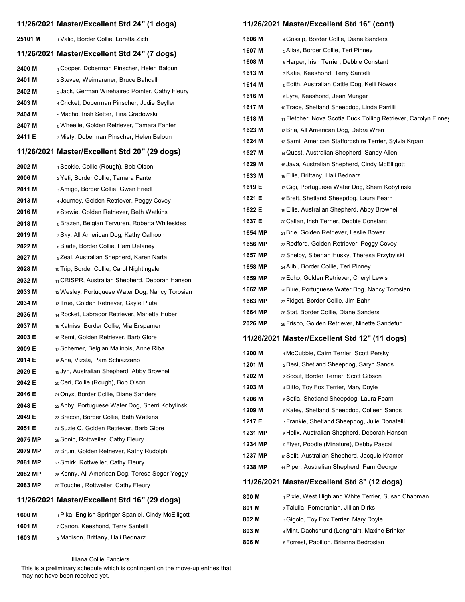|         | 11/26/2021 Master/Excellent Std 24" (1 dogs)                  |                    | 11/26/2021 Master/Excellent Std 16" (cont)                                               |
|---------|---------------------------------------------------------------|--------------------|------------------------------------------------------------------------------------------|
| 25101 M | 1 Valid, Border Collie, Loretta Zich                          | 1606 M             | 4 Gossip, Border Collie, Diane Sanders                                                   |
|         | 11/26/2021 Master/Excellent Std 24" (7 dogs)                  | 1607 M             | 5 Alias, Border Collie, Teri Pinney                                                      |
|         |                                                               | 1608 M             | 6 Harper, Irish Terrier, Debbie Constant                                                 |
| 2400 M  | 1 Cooper, Doberman Pinscher, Helen Baloun                     | 1613 M             | 7 Katie, Keeshond, Terry Santelli                                                        |
| 2401 M  | 2 Stevee, Weimaraner, Bruce Bahcall                           | 1614 M             | 8 Edith, Australian Cattle Dog, Kelli Nowak                                              |
| 2402 M  | 3 Jack, German Wirehaired Pointer, Cathy Fleury               | 1616 M             | 9 Lyra, Keeshond, Jean Munger                                                            |
| 2403 M  | 4 Cricket, Doberman Pinscher, Judie Seyller                   | 1617 M             | 10 Trace, Shetland Sheepdog, Linda Parrilli                                              |
| 2404 M  | 5 Macho, Irish Setter, Tina Gradowski                         | 1618 M             | <sup>11</sup> Fletcher, Nova Scotia Duck Tolling Retriever, Carolyn Finne                |
| 2407 M  | 6 Wheelie, Golden Retriever, Tamara Fanter                    | 1623 M             | <sub>12</sub> Bria, All American Dog, Debra Wren                                         |
| 2411 E  | 7 Misty, Doberman Pinscher, Helen Baloun                      | 1624 M             | 13 Sami, American Staffordshire Terrier, Sylvia Krpan                                    |
|         | 11/26/2021 Master/Excellent Std 20" (29 dogs)                 | 1627 M             | 14 Quest, Australian Shepherd, Sandy Allen                                               |
| 2002 M  | 1 Sookie, Collie (Rough), Bob Olson                           | 1629 M             | 15 Java, Australian Shepherd, Cindy McElligott                                           |
| 2006 M  | 2 Yeti, Border Collie, Tamara Fanter                          | 1633 M             | 16 Ellie, Brittany, Hali Bednarz                                                         |
| 2011 M  | 3 Amigo, Border Collie, Gwen Friedl                           | 1619 E             | 17 Gigi, Portuguese Water Dog, Sherri Kobylinski                                         |
| 2013 M  | 4 Journey, Golden Retriever, Peggy Covey                      | 1621 E             | 18 Brett, Shetland Sheepdog, Laura Fearn                                                 |
| 2016 M  | 5 Stewie, Golden Retriever, Beth Watkins                      | 1622 E             | 19 Ellie, Australian Shepherd, Abby Brownell                                             |
| 2018 M  | 6 Brazen, Belgian Tervuren, Roberta Whitesides                | 1637 E             | 20 Callan, Irish Terrier, Debbie Constant                                                |
| 2019 M  | 7 Sky, All American Dog, Kathy Calhoon                        | 1654 MP            | 21 Brie, Golden Retriever, Leslie Bower                                                  |
| 2022 M  | 8 Blade, Border Collie, Pam Delaney                           | 1656 MP            | 22 Redford, Golden Retriever, Peggy Covey                                                |
| 2027 M  | 9 Zeal, Australian Shepherd, Karen Narta                      | 1657 MP            | 23 Shelby, Siberian Husky, Theresa Przybylski                                            |
| 2028 M  | 10 Trip, Border Collie, Carol Nightingale                     | 1658 MP            | 24 Alibi, Border Collie, Teri Pinney                                                     |
| 2032 M  | 11 CRISPR, Australian Shepherd, Deborah Hanson                | 1659 MP            | 25 Echo, Golden Retriever, Cheryl Lewis                                                  |
| 2033 M  | 12 Wesley, Portuguese Water Dog, Nancy Torosian               | 1662 MP            | 26 Blue, Portuguese Water Dog, Nancy Torosian                                            |
| 2034 M  | 13 True, Golden Retriever, Gayle Pluta                        | 1663 MP            | 27 Fidget, Border Collie, Jim Bahr                                                       |
| 2036 M  | 14 Rocket, Labrador Retriever, Marietta Huber                 | 1664 MP            | 28 Stat, Border Collie, Diane Sanders                                                    |
| 2037 M  | 15 Katniss, Border Collie, Mia Erspamer                       | 2026 MP            | <sub>29</sub> Frisco, Golden Retriever, Ninette Sandefur                                 |
| 2003 E  | 16 Remi, Golden Retriever, Barb Glore                         |                    | 11/26/2021 Master/Excellent Std 12" (11 dogs)                                            |
| 2009 E  | 17 Schemer, Belgian Malinois, Anne Riba                       | 1200 M             | 1 McCubbie, Cairn Terrier, Scott Persky                                                  |
| 2014 E  | 18 Ana, Vizsla, Pam Schiazzano                                | 1201 M             | 2 Desi, Shetland Sheepdog, Saryn Sands                                                   |
| 2029 E  | 19 Jyn, Australian Shepherd, Abby Brownell                    | 1202 M             | 3 Scout, Border Terrier, Scott Gibson                                                    |
| 2042 E  | 20 Ceri, Collie (Rough), Bob Olson                            | 1203 M             | 4 Ditto, Toy Fox Terrier, Mary Doyle                                                     |
| 2046 E  | 21 Onyx, Border Collie, Diane Sanders                         | 1206 M             | 5 Sofia, Shetland Sheepdog, Laura Fearn                                                  |
| 2048 E  | 22 Abby, Portuguese Water Dog, Sherri Kobylinski              | 1209 M             | 6 Katey, Shetland Sheepdog, Colleen Sands                                                |
| 2049 E  | 23 Brecon, Border Collie, Beth Watkins                        |                    |                                                                                          |
| 2051 E  | 24 Suzie Q, Golden Retriever, Barb Glore                      | 1217 E             | 7 Frankie, Shetland Sheepdog, Julie Donatelli                                            |
| 2075 MP | 25 Sonic, Rottweiler, Cathy Fleury                            | 1231 MP<br>1234 MP | 8 Helix, Australian Shepherd, Deborah Hanson<br>9 Flyer, Poodle (Minature), Debby Pascal |
| 2079 MP | 26 Bruin, Golden Retriever, Kathy Rudolph                     | 1237 MP            |                                                                                          |
| 2081 MP | 27 Smirk, Rottweiler, Cathy Fleury                            | 1238 MP            | 10 Split, Australian Shepherd, Jacquie Kramer                                            |
| 2082 MP | 28 Kenny, All American Dog, Teresa Seger-Yeggy                |                    | 11 Piper, Australian Shepherd, Pam George                                                |
| 2083 MP | 29 Touche', Rottweiler, Cathy Fleury                          |                    | 11/26/2021 Master/Excellent Std 8" (12 dogs)                                             |
|         | 11/26/2021 Master/Excellent Std 16" (29 dogs)                 | 800 M              | 1 Pixie, West Highland White Terrier, Susan Chapman                                      |
| 1600 M  | <sub>1</sub> Pika, English Springer Spaniel, Cindy McElligott | 801 M              | 2 Talulla, Pomeranian, Jillian Dirks                                                     |
| 1601 M  | 2 Canon, Keeshond, Terry Santelli                             | 802 M              | 3 Gigolo, Toy Fox Terrier, Mary Doyle                                                    |
| 1603 M  | 3 Madison, Brittany, Hali Bednarz                             | 803 M              | 4 Mint, Dachshund (Longhair), Maxine Brinker                                             |
|         |                                                               | 806 M              | 5 Forrest, Papillon, Brianna Bedrosian                                                   |

Illiana Collie Fanciers

This is a preliminary schedule which is contingent on the move-up entries that may not have been received yet.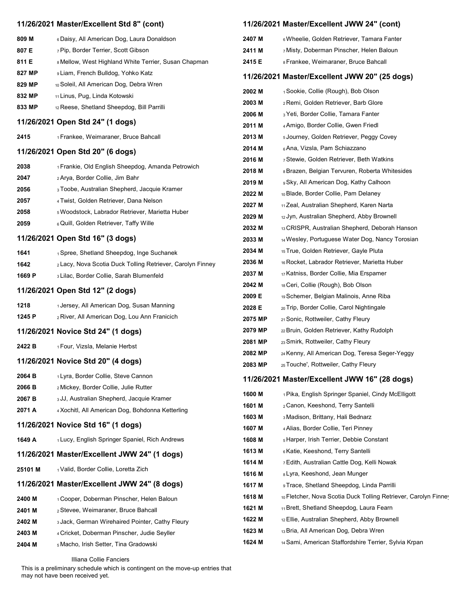|                  | 11/26/2021 Master/Excellent Std 8" (cont)                                        |                    | 11/26/2021 Master/Excellent JWW 24" (cont)                                           |
|------------------|----------------------------------------------------------------------------------|--------------------|--------------------------------------------------------------------------------------|
| 809 M            | 6 Daisy, All American Dog, Laura Donaldson                                       | 2407 M             | 6 Wheelie, Golden Retriever, Tamara Fanter                                           |
| 807 E            | 7 Pip, Border Terrier, Scott Gibson                                              | 2411 M             | 7 Misty, Doberman Pinscher, Helen Baloun                                             |
| 811 E            | 8 Mellow, West Highland White Terrier, Susan Chapman                             | 2415 E             | 8 Frankee, Weimaraner, Bruce Bahcall                                                 |
| 827 MP           | 9 Liam, French Bulldog, Yohko Katz                                               |                    | 11/26/2021 Master/Excellent JWW 20" (25 dogs)                                        |
| 829 MP           | 10 Soleil, All American Dog, Debra Wren                                          | 2002 M             | 1 Sookie, Collie (Rough), Bob Olson                                                  |
| 832 MP           | 11 Linus, Pug, Linda Kotowski                                                    | 2003 M             | 2 Remi, Golden Retriever, Barb Glore                                                 |
| 833 MP           | 12 Reese, Shetland Sheepdog, Bill Parrilli                                       | 2006 M             | 3 Yeti, Border Collie, Tamara Fanter                                                 |
|                  | 11/26/2021 Open Std 24" (1 dogs)                                                 | 2011 M             | 4 Amigo, Border Collie, Gwen Friedl                                                  |
| 2415             | 1 Frankee, Weimaraner, Bruce Bahcall                                             | 2013 M             | 5 Journey, Golden Retriever, Peggy Covey                                             |
|                  | 11/26/2021 Open Std 20" (6 dogs)                                                 | 2014 M             | 6 Ana, Vizsla, Pam Schiazzano                                                        |
|                  |                                                                                  | 2016 M             | 7 Stewie, Golden Retriever, Beth Watkins                                             |
| 2038             | <sub>1</sub> Frankie, Old English Sheepdog, Amanda Petrowich                     | 2018 M             | 8 Brazen, Belgian Tervuren, Roberta Whitesides                                       |
| 2047             | 2 Arya, Border Collie, Jim Bahr                                                  | 2019 M             | 9 Sky, All American Dog, Kathy Calhoon                                               |
| 2056             | 3 Toobe, Australian Shepherd, Jacquie Kramer                                     | 2022 M             | 10 Blade, Border Collie, Pam Delaney                                                 |
| 2057             | 4 Twist, Golden Retriever, Dana Nelson                                           | 2027 M             | 11 Zeal, Australian Shepherd, Karen Narta                                            |
| 2058             | 5 Woodstock, Labrador Retriever, Marietta Huber                                  | 2029 M             | 12 Jyn, Australian Shepherd, Abby Brownell                                           |
| 2059             | 6 Quill, Golden Retriever, Taffy Wille                                           | 2032 M             | 13 CRISPR, Australian Shepherd, Deborah Hanson                                       |
|                  | 11/26/2021 Open Std 16" (3 dogs)                                                 | 2033 M             | 14 Wesley, Portuguese Water Dog, Nancy Torosian                                      |
| 1641             | 1 Spree, Shetland Sheepdog, Inge Suchanek                                        | 2034 M             | 15 True, Golden Retriever, Gayle Pluta                                               |
| 1642             | 2 Lacy, Nova Scotia Duck Tolling Retriever, Carolyn Finney                       | 2036 M             | 16 Rocket, Labrador Retriever, Marietta Huber                                        |
| 1669 P           | 3 Lilac, Border Collie, Sarah Blumenfeld                                         | 2037 M             | 17 Katniss, Border Collie, Mia Erspamer                                              |
|                  | 11/26/2021 Open Std 12" (2 dogs)                                                 | 2042 M             | 18 Ceri, Collie (Rough), Bob Olson                                                   |
| 1218             | 1 Jersey, All American Dog, Susan Manning                                        | 2009 E             | 19 Schemer, Belgian Malinois, Anne Riba                                              |
| 1245 P           | 2 River, All American Dog, Lou Ann Franicich                                     | 2028 E             | 20 Trip, Border Collie, Carol Nightingale                                            |
|                  |                                                                                  | 2075 MP            | 21 Sonic, Rottweiler, Cathy Fleury                                                   |
|                  | 11/26/2021 Novice Std 24" (1 dogs)                                               | 2079 MP            | 22 Bruin, Golden Retriever, Kathy Rudolph                                            |
| 2422 B           | <sub>1</sub> Four, Vizsla, Melanie Herbst                                        | 2081 MP            | 23 Smirk, Rottweiler, Cathy Fleury<br>24 Kenny, All American Dog, Teresa Seger-Yeggy |
|                  | 11/26/2021 Novice Std 20" (4 dogs)                                               | 2082 MP<br>2083 MP | 25 Touche', Rottweiler, Cathy Fleury                                                 |
| 2064 B           | 1 Lyra, Border Collie, Steve Cannon                                              |                    |                                                                                      |
| 2066 B           | 2 Mickey, Border Collie, Julie Rutter                                            |                    | 11/26/2021 Master/Excellent JWW 16" (28 dogs)                                        |
| 2067 B           | 3 JJ, Australian Shepherd, Jacquie Kramer                                        | 1600 M             | 1 Pika, English Springer Spaniel, Cindy McElligott                                   |
| 2071 A           | 4 Xochitl, All American Dog, Bohdonna Ketterling                                 | 1601 M             | 2 Canon, Keeshond, Terry Santelli                                                    |
|                  | 11/26/2021 Novice Std 16" (1 dogs)                                               | 1603 M             | 3 Madison, Brittany, Hali Bednarz                                                    |
|                  |                                                                                  | 1607 M             | 4 Alias, Border Collie, Teri Pinney                                                  |
| 1649 A           | 1 Lucy, English Springer Spaniel, Rich Andrews                                   | 1608 M             | 5 Harper, Irish Terrier, Debbie Constant                                             |
|                  | 11/26/2021 Master/Excellent JWW 24" (1 dogs)                                     | 1613 M             | 6 Katie, Keeshond, Terry Santelli                                                    |
| 25101 M          | 1 Valid, Border Collie, Loretta Zich                                             | 1614 M<br>1616 M   | 7 Edith, Australian Cattle Dog, Kelli Nowak<br>8 Lyra, Keeshond, Jean Munger         |
|                  | 11/26/2021 Master/Excellent JWW 24" (8 dogs)                                     | 1617 M             | 9 Trace, Shetland Sheepdog, Linda Parrilli                                           |
|                  |                                                                                  | 1618 M             | 10 Fletcher, Nova Scotia Duck Tolling Retriever, Carolyn Finney                      |
| 2400 M           | 1 Cooper, Doberman Pinscher, Helen Baloun<br>2 Stevee, Weimaraner, Bruce Bahcall | 1621 M             | 11 Brett, Shetland Sheepdog, Laura Fearn                                             |
| 2401 M           | 3 Jack, German Wirehaired Pointer, Cathy Fleury                                  | 1622 M             | 12 Ellie, Australian Shepherd, Abby Brownell                                         |
| 2402 M<br>2403 M | 4 Cricket, Doberman Pinscher, Judie Seyller                                      | 1623 M             | 13 Bria, All American Dog, Debra Wren                                                |
| 2404 M           | 5 Macho, Irish Setter, Tina Gradowski                                            | 1624 M             | 14 Sami, American Staffordshire Terrier, Sylvia Krpan                                |
|                  |                                                                                  |                    |                                                                                      |

Illiana Collie Fanciers

This is a preliminary schedule which is contingent on the move-up entries that may not have been received yet.